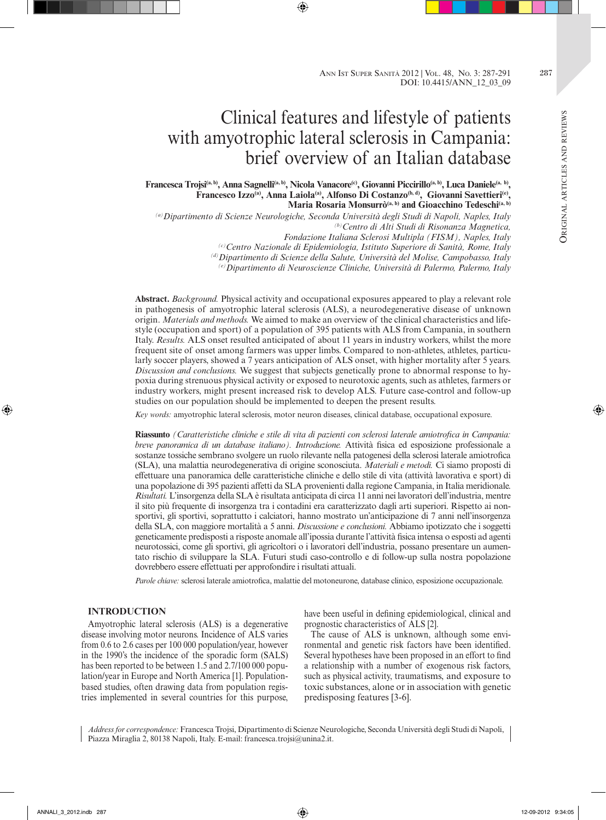# Clinical features and lifestyle of patients with amyotrophic lateral sclerosis in Campania: brief overview of an Italian database

Francesca Trojsi<sup>(a, b)</sup>, Anna Sagnelli<sup>(a, b)</sup>, Nicola Vanacore<sup>(c)</sup>, Giovanni Piccirillo<sup>(a, b)</sup>, Luca Daniele<sup>(a, b)</sup>, Francesco Izzo<sup>(a)</sup>, Anna Laiola<sup>(a)</sup>, Alfonso Di Costanzo<sup>(b, d)</sup>, Giovanni Savettieri<sup>(e)</sup>, Maria Rosaria Monsurrò<sup>(a, b)</sup> and Gioacchino Tedeschi<sup>(a, b)</sup>

*(a)Dipartimento di Scienze Neurologiche, Seconda Università degli Studi di Napoli, Naples, Italy (b)Centro di Alti Studi di Risonanza Magnetica,* 

*Fondazione Italiana Sclerosi Multipla (FISM), Naples, Italy*

*(c)Centro Nazionale di Epidemiologia, Istituto Superiore di Sanità, Rome, Italy*

*(d)Dipartimento di Scienze della Salute, Università del Molise, Campobasso, Italy*

*(e)Dipartimento di Neuroscienze Cliniche, Università di Palermo, Palermo, Italy*

**Abstract.** *Background.* Physical activity and occupational exposures appeared to play a relevant role in pathogenesis of amyotrophic lateral sclerosis (ALS), a neurodegenerative disease of unknown origin. *Materials and methods.* We aimed to make an overview of the clinical characteristics and lifestyle (occupation and sport) of a population of 395 patients with ALS from Campania, in southern Italy. *Results.* ALS onset resulted anticipated of about 11 years in industry workers, whilst the more frequent site of onset among farmers was upper limbs. Compared to non-athletes, athletes, particularly soccer players, showed a 7 years anticipation of ALS onset, with higher mortality after 5 years. *Discussion and conclusions.* We suggest that subjects genetically prone to abnormal response to hypoxia during strenuous physical activity or exposed to neurotoxic agents, such as athletes, farmers or industry workers, might present increased risk to develop ALS. Future case-control and follow-up studies on our population should be implemented to deepen the present results.

*Key words:* amyotrophic lateral sclerosis, motor neuron diseases, clinical database, occupational exposure.

**Riassunto** *(Caratteristiche cliniche e stile di vita di pazienti con sclerosi laterale amiotrofica in Campania: breve panoramica di un database italiano). Introduzione.* Attività fisica ed esposizione professionale a sostanze tossiche sembrano svolgere un ruolo rilevante nella patogenesi della sclerosi laterale amiotrofica (SLA), una malattia neurodegenerativa di origine sconosciuta. *Materiali e metodi.* Ci siamo proposti di effettuare una panoramica delle caratteristiche cliniche e dello stile di vita (attività lavorativa e sport) di una popolazione di 395 pazienti affetti da SLA provenienti dalla regione Campania, in Italia meridionale. *Risultati.* L'insorgenza della SLA è risultata anticipata di circa 11 anni nei lavoratori dell'industria, mentre il sito più frequente di insorgenza tra i contadini era caratterizzato dagli arti superiori. Rispetto ai nonsportivi, gli sportivi, soprattutto i calciatori, hanno mostrato un'anticipazione di 7 anni nell'insorgenza della SLA, con maggiore mortalità a 5 anni. *Discussione e conclusioni.* Abbiamo ipotizzato che i soggetti geneticamente predisposti a risposte anomale all'ipossia durante l'attività fisica intensa o esposti ad agenti neurotossici, come gli sportivi, gli agricoltori o i lavoratori dell'industria, possano presentare un aumentato rischio di sviluppare la SLA. Futuri studi caso-controllo e di follow-up sulla nostra popolazione dovrebbero essere effettuati per approfondire i risultati attuali.

*Parole chiave:* sclerosi laterale amiotrofica, malattie del motoneurone, database clinico, esposizione occupazionale.

## **INTRODUCTION**

Amyotrophic lateral sclerosis (ALS) is a degenerative disease involving motor neurons. Incidence of ALS varies from 0.6 to 2.6 cases per 100 000 population/year, however in the 1990's the incidence of the sporadic form (SALS) has been reported to be between 1.5 and 2.7/100 000 population/year in Europe and North America [1]. Populationbased studies, often drawing data from population registries implemented in several countries for this purpose,

have been useful in defining epidemiological, clinical and prognostic characteristics of ALS [2].

The cause of ALS is unknown, although some environmental and genetic risk factors have been identified. Several hypotheses have been proposed in an effort to find a relationship with a number of exogenous risk factors, such as physical activity, traumatisms, and exposure to toxic substances, alone or in association with genetic predisposing features [3-6].

*Address for correspondence:* Francesca Trojsi, Dipartimento di Scienze Neurologiche, Seconda Università degli Studi di Napoli, Piazza Miraglia 2, 80138 Napoli, Italy. E-mail: francesca.trojsi@unina2.it.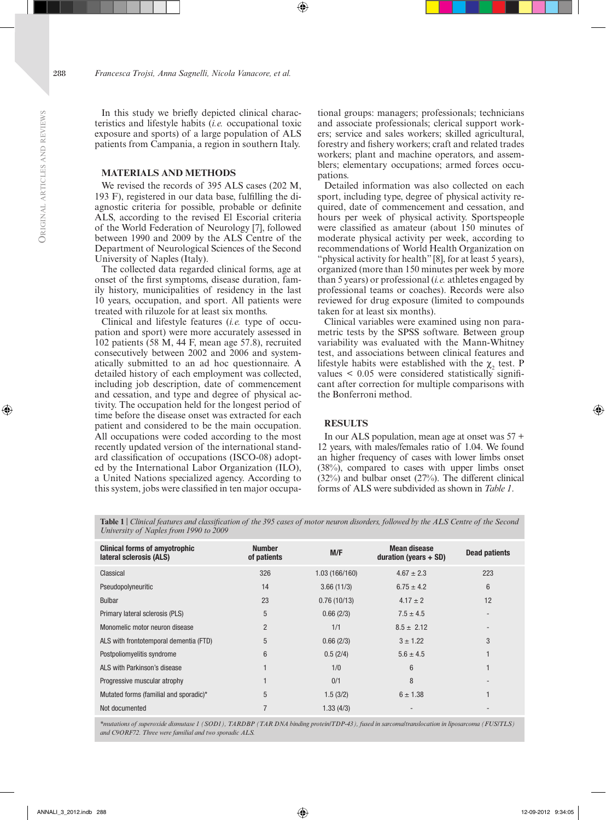In this study we briefly depicted clinical characteristics and lifestyle habits (*i.e.* occupational toxic exposure and sports) of a large population of ALS patients from Campania, a region in southern Italy.

#### **MATERIALS AND METHODS**

We revised the records of 395 ALS cases (202 M, 193 F), registered in our data base, fulfilling the diagnostic criteria for possible, probable or definite ALS, according to the revised El Escorial criteria of the World Federation of Neurology [7], followed between 1990 and 2009 by the ALS Centre of the Department of Neurological Sciences of the Second University of Naples (Italy).

The collected data regarded clinical forms, age at onset of the first symptoms, disease duration, family history, municipalities of residency in the last 10 years, occupation, and sport. All patients were treated with riluzole for at least six months.

Clinical and lifestyle features (*i.e.* type of occupation and sport) were more accurately assessed in 102 patients (58 M, 44 F, mean age 57.8), recruited consecutively between 2002 and 2006 and systematically submitted to an ad hoc questionnaire. A detailed history of each employment was collected, including job description, date of commencement and cessation, and type and degree of physical activity. The occupation held for the longest period of time before the disease onset was extracted for each patient and considered to be the main occupation. All occupations were coded according to the most recently updated version of the international standard classification of occupations (ISCO-08) adopted by the International Labor Organization (ILO), a United Nations specialized agency. According to this system, jobs were classified in ten major occupa-

tional groups: managers; professionals; technicians and associate professionals; clerical support workers; service and sales workers; skilled agricultural, forestry and fishery workers; craft and related trades workers; plant and machine operators, and assemblers; elementary occupations; armed forces occupations.

Detailed information was also collected on each sport, including type, degree of physical activity required, date of commencement and cessation, and hours per week of physical activity. Sportspeople were classified as amateur (about 150 minutes of moderate physical activity per week, according to recommendations of World Health Organization on "physical activity for health" [8], for at least 5 years), organized (more than 150 minutes per week by more than 5 years) or professional (*i.e.* athletes engaged by professional teams or coaches). Records were also reviewed for drug exposure (limited to compounds taken for at least six months).

Clinical variables were examined using non parametric tests by the SPSS software. Between group variability was evaluated with the Mann-Whitney test, and associations between clinical features and lifestyle habits were established with the  $\chi_2$  test. P values  $\lt$  0.05 were considered statistically significant after correction for multiple comparisons with the Bonferroni method.

## **RESULTS**

In our ALS population, mean age at onset was 57 + 12 years, with males/females ratio of 1.04. We found an higher frequency of cases with lower limbs onset (38%), compared to cases with upper limbs onset (32%) and bulbar onset (27%). The different clinical forms of ALS were subdivided as shown in *Table 1*.

**Table 1** | *Clinical features and classification of the 395 cases of motor neuron disorders, followed by the ALS Centre of the Second University of Naples from 1990 to 2009*

| <b>Clinical forms of amyotrophic</b><br>lateral sclerosis (ALS) | <b>Number</b><br>of patients | M/F            | <b>Mean disease</b><br>duration (years $+$ SD) | <b>Dead patients</b> |  |
|-----------------------------------------------------------------|------------------------------|----------------|------------------------------------------------|----------------------|--|
| Classical                                                       | 326                          | 1.03 (166/160) | $4.67 \pm 2.3$                                 | 223                  |  |
| Pseudopolyneuritic                                              | 14                           | 3.66(11/3)     | $6.75 \pm 4.2$                                 | $6\phantom{1}$       |  |
| <b>Bulbar</b>                                                   | 23                           | 0.76(10/13)    | $4.17 \pm 2$                                   | 12                   |  |
| Primary lateral sclerosis (PLS)                                 | 5                            | 0.66(2/3)      | $7.5 \pm 4.5$                                  |                      |  |
| Monomelic motor neuron disease                                  | $\overline{2}$               | 1/1            | $8.5 \pm 2.12$                                 |                      |  |
| ALS with frontotemporal dementia (FTD)                          | 5                            | 0.66(2/3)      | $3 \pm 1.22$                                   | 3                    |  |
| Postpoliomyelitis syndrome                                      | 6                            | 0.5(2/4)       | $5.6 \pm 4.5$                                  |                      |  |
| ALS with Parkinson's disease                                    |                              | 1/0            | 6                                              |                      |  |
| Progressive muscular atrophy                                    |                              | 0/1            | 8                                              |                      |  |
| Mutated forms (familial and sporadic)*                          | 5                            | 1.5(3/2)       | $6 \pm 1.38$                                   |                      |  |
| Not documented                                                  |                              | 1.33(4/3)      |                                                |                      |  |

*\*mutations of superoxide dismutase 1 (SOD1), TARDBP (TAR DNA binding protein/TDP-43), fused in sarcoma/translocation in liposarcoma (FUS/TLS) and C9ORF72. Three were familial and two sporadic ALS.*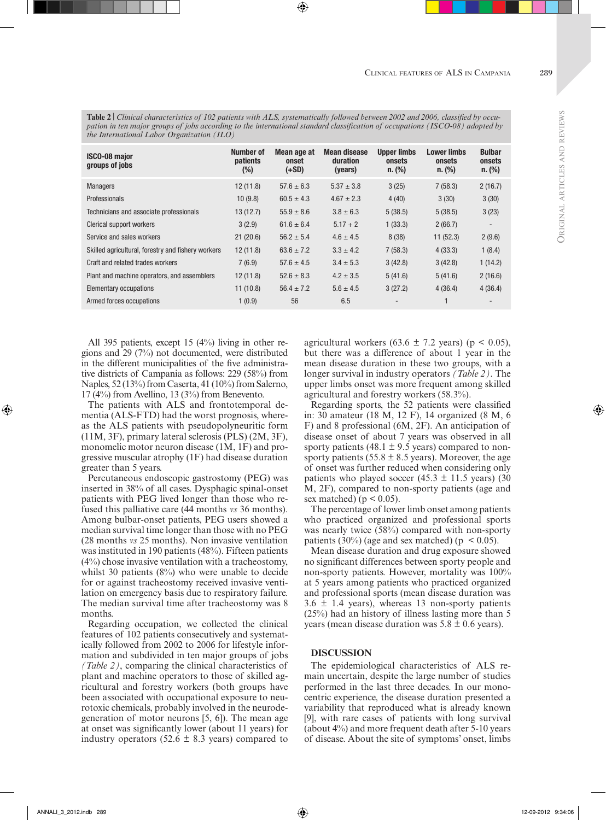**ORIGIN** 

al articles

**Table 2** | *Clinical characteristics of 102 patients with ALS, systematically followed between 2002 and 2006, classified by occupation in ten major groups of jobs according to the international standard classification of occupations (ISCO-08) adopted by the International Labor Organization (ILO)*

| <b>ISCO-08 major</b><br>groups of jobs             | Number of<br><b>patients</b><br>$(\%)$ | Mean age at<br>onset<br>$(+SD)$ | <b>Mean disease</b><br>duration<br>(years) | <b>Upper limbs</b><br>onsets<br>n. (%) | <b>Lower limbs</b><br>onsets<br>n. (%) | <b>Bulbar</b><br>onsets<br>n. (%) |
|----------------------------------------------------|----------------------------------------|---------------------------------|--------------------------------------------|----------------------------------------|----------------------------------------|-----------------------------------|
| <b>Managers</b>                                    | 12(11.8)                               | $57.6 \pm 6.3$                  | $5.37 \pm 3.8$                             | 3(25)                                  | 7(58.3)                                | 2(16.7)                           |
| Professionals                                      | 10(9.8)                                | $60.5 \pm 4.3$                  | $4.67 \pm 2.3$                             | 4(40)                                  | 3(30)                                  | 3(30)                             |
| Technicians and associate professionals            | 13(12.7)                               | $55.9 \pm 8.6$                  | $3.8 \pm 6.3$                              | 5(38.5)                                | 5(38.5)                                | 3(23)                             |
| Clerical support workers                           | 3(2.9)                                 | $61.6 \pm 6.4$                  | $5.17 + 2$                                 | 1(33.3)                                | 2(66.7)                                |                                   |
| Service and sales workers                          | 21(20.6)                               | $56.2 \pm 5.4$                  | $4.6 \pm 4.5$                              | 8(38)                                  | 11(52.3)                               | 2(9.6)                            |
| Skilled agricultural, forestry and fishery workers | 12(11.8)                               | $63.6 \pm 7.2$                  | $3.3 \pm 4.2$                              | 7(58.3)                                | 4(33.3)                                | 1(8.4)                            |
| Craft and related trades workers                   | 7(6.9)                                 | $57.6 \pm 4.5$                  | $3.4 \pm 5.3$                              | 3(42.8)                                | 3(42.8)                                | 1(14.2)                           |
| Plant and machine operators, and assemblers        | 12(11.8)                               | $52.6 \pm 8.3$                  | $4.2 \pm 3.5$                              | 5(41.6)                                | 5(41.6)                                | 2(16.6)                           |
| Elementary occupations                             | 11(10.8)                               | $56.4 \pm 7.2$                  | $5.6 \pm 4.5$                              | 3(27.2)                                | 4(36.4)                                | 4(36.4)                           |
| Armed forces occupations                           | 1(0.9)                                 | 56                              | 6.5                                        |                                        |                                        |                                   |

All 395 patients, except 15 (4%) living in other regions and 29 (7%) not documented, were distributed in the different municipalities of the five administrative districts of Campania as follows: 229 (58%) from Naples, 52 (13%) from Caserta, 41 (10%) from Salerno, 17 (4%) from Avellino, 13 (3%) from Benevento.

The patients with ALS and frontotemporal dementia (ALS-FTD) had the worst prognosis, whereas the ALS patients with pseudopolyneuritic form (11M, 3F), primary lateral sclerosis (PLS) (2M, 3F), monomelic motor neuron disease (1M, 1F) and progressive muscular atrophy (1F) had disease duration greater than 5 years.

Percutaneous endoscopic gastrostomy (PEG) was inserted in 38% of all cases. Dysphagic spinal-onset patients with PEG lived longer than those who refused this palliative care (44 months *vs* 36 months). Among bulbar-onset patients, PEG users showed a median survival time longer than those with no PEG (28 months *vs* 25 months). Non invasive ventilation was instituted in 190 patients (48%). Fifteen patients (4%) chose invasive ventilation with a tracheostomy, whilst 30 patients (8%) who were unable to decide for or against tracheostomy received invasive ventilation on emergency basis due to respiratory failure. The median survival time after tracheostomy was 8 months.

Regarding occupation, we collected the clinical features of 102 patients consecutively and systematically followed from 2002 to 2006 for lifestyle information and subdivided in ten major groups of jobs *(Table 2)*, comparing the clinical characteristics of plant and machine operators to those of skilled agricultural and forestry workers (both groups have been associated with occupational exposure to neurotoxic chemicals, probably involved in the neurodegeneration of motor neurons [5, 6]). The mean age at onset was significantly lower (about 11 years) for industry operators (52.6  $\pm$  8.3 years) compared to

agricultural workers (63.6  $\pm$  7.2 years) (p < 0.05), but there was a difference of about 1 year in the mean disease duration in these two groups, with a longer survival in industry operators *(Table 2)*. The upper limbs onset was more frequent among skilled agricultural and forestry workers (58.3%).

Regarding sports, the 52 patients were classified in: 30 amateur (18 M, 12 F), 14 organized (8 M, 6 F) and 8 professional (6M, 2F). An anticipation of disease onset of about 7 years was observed in all sporty patients (48.1  $\pm$  9.5 years) compared to nonsporty patients (55.8  $\pm$  8.5 years). Moreover, the age of onset was further reduced when considering only patients who played soccer (45.3  $\pm$  11.5 years) (30 M, 2F), compared to non-sporty patients (age and sex matched) ( $p < 0.05$ ).

The percentage of lower limb onset among patients who practiced organized and professional sports was nearly twice (58%) compared with non-sporty patients (30%) (age and sex matched) ( $p < 0.05$ ).

Mean disease duration and drug exposure showed no significant differences between sporty people and non-sporty patients. However, mortality was 100% at 5 years among patients who practiced organized and professional sports (mean disease duration was  $3.6 \pm 1.4$  years), whereas 13 non-sporty patients (25%) had an history of illness lasting more than 5 years (mean disease duration was  $5.8 \pm 0.6$  years).

#### **DISCUSSION**

The epidemiological characteristics of ALS remain uncertain, despite the large number of studies performed in the last three decades. In our monocentric experience, the disease duration presented a variability that reproduced what is already known [9], with rare cases of patients with long survival (about 4%) and more frequent death after 5-10 years of disease. About the site of symptoms' onset, limbs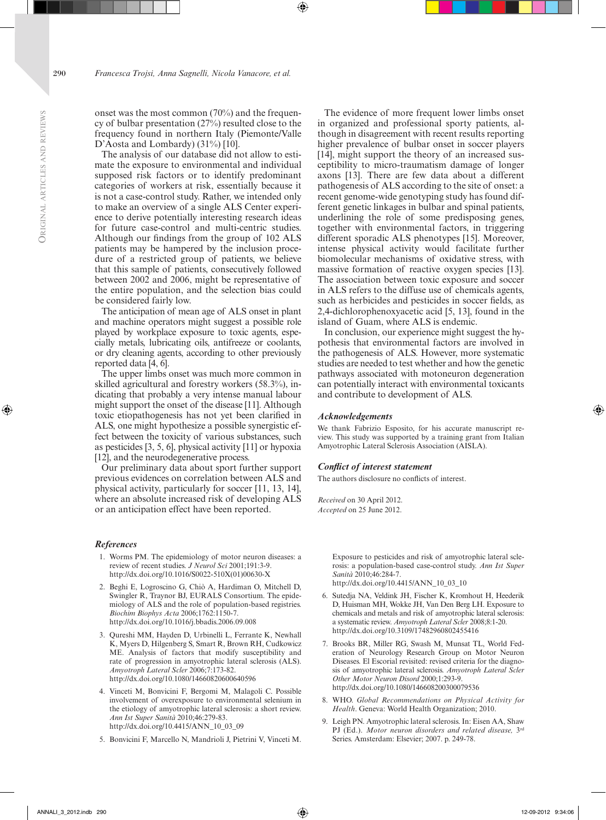onset was the most common (70%) and the frequency of bulbar presentation (27%) resulted close to the frequency found in northern Italy (Piemonte/Valle D'Aosta and Lombardy) (31%) [10].

The analysis of our database did not allow to estimate the exposure to environmental and individual supposed risk factors or to identify predominant categories of workers at risk, essentially because it is not a case-control study. Rather, we intended only to make an overview of a single ALS Center experience to derive potentially interesting research ideas for future case-control and multi-centric studies. Although our findings from the group of 102 ALS patients may be hampered by the inclusion procedure of a restricted group of patients, we believe that this sample of patients, consecutively followed between 2002 and 2006, might be representative of the entire population, and the selection bias could be considered fairly low.

The anticipation of mean age of ALS onset in plant and machine operators might suggest a possible role played by workplace exposure to toxic agents, especially metals, lubricating oils, antifreeze or coolants, or dry cleaning agents, according to other previously reported data [4, 6].

The upper limbs onset was much more common in skilled agricultural and forestry workers (58.3%), indicating that probably a very intense manual labour might support the onset of the disease [11]. Although toxic etiopathogenesis has not yet been clarified in ALS, one might hypothesize a possible synergistic effect between the toxicity of various substances, such as pesticides [3, 5, 6], physical activity [11] or hypoxia [12], and the neurodegenerative process.

Our preliminary data about sport further support previous evidences on correlation between ALS and physical activity, particularly for soccer [11, 13, 14], where an absolute increased risk of developing ALS or an anticipation effect have been reported.

### *References*

- 1. Worms PM. The epidemiology of motor neuron diseases: a review of recent studies. *J Neurol Sci* 2001;191:3-9. [http://dx.doi.org/10.1016/S0022-510X\(01\)00630-X](http://dx.doi.org/10.1016%2FS0022-510X%2801%2900630-X)
- 2. Beghi E, Logroscino G, Chiò A, Hardiman O, Mitchell D, Swingler R, Traynor BJ, EURALS Consortium. The epidemiology of ALS and the role of population-based registries. *Biochim Biophys Acta* 2006;1762:1150-7. [http://dx.doi.org/10.1016/j.bbadis.2006.09.008](http://dx.doi.org/10.1016%2Fj.bbadis.2006.09.008)
- 3. Qureshi MM, Hayden D, Urbinelli L, Ferrante K, Newhall K, Myers D, Hilgenberg S, Smart R, Brown RH, Cudkowicz ME. Analysis of factors that modify susceptibility and rate of progression in amyotrophic lateral sclerosis (ALS). *Amyotroph Lateral Scler* 2006;7:173-82. [http://dx.doi.org/10.1080/14660820600640596]( http://dx.doi.org/10.1080/14660820600640596)
- 4. Vinceti M, Bonvicini F, Bergomi M, Malagoli C. Possible involvement of overexposure to environmental selenium in the etiology of amyotrophic lateral sclerosis: a short review. *Ann Ist Super Sanità* 2010;46:279-83. [http://dx.doi.org/10.4415/ANN\\_10\\_03\\_09](http://dx.doi.org/10.4415/ANN_10_03_09)
- 5. Bonvicini F, Marcello N, Mandrioli J, Pietrini V, Vinceti M.

The evidence of more frequent lower limbs onset in organized and professional sporty patients, although in disagreement with recent results reporting higher prevalence of bulbar onset in soccer players [14], might support the theory of an increased susceptibility to micro-traumatism damage of longer axons [13]. There are few data about a different pathogenesis of ALS according to the site of onset: a recent genome-wide genotyping study has found different genetic linkages in bulbar and spinal patients, underlining the role of some predisposing genes, together with environmental factors, in triggering different sporadic ALS phenotypes [15]. Moreover, intense physical activity would facilitate further biomolecular mechanisms of oxidative stress, with massive formation of reactive oxygen species [13]. The association between toxic exposure and soccer in ALS refers to the diffuse use of chemicals agents, such as herbicides and pesticides in soccer fields, as 2,4-dichlorophenoxyacetic acid [5, 13], found in the island of Guam, where ALS is endemic.

In conclusion, our experience might suggest the hypothesis that environmental factors are involved in the pathogenesis of ALS. However, more systematic studies are needed to test whether and how the genetic pathways associated with motoneuron degeneration can potentially interact with environmental toxicants and contribute to development of ALS.

#### *Acknowledgements*

We thank Fabrizio Esposito, for his accurate manuscript review. This study was supported by a training grant from Italian Amyotrophic Lateral Sclerosis Association (AISLA).

#### *Conflict of interest statement*

The authors disclosure no conflicts of interest.

*Received* on 30 April 2012. *Accepted* on 25 June 2012.

> Exposure to pesticides and risk of amyotrophic lateral sclerosis: a population-based case-control study. *Ann Ist Super Sanità* 2010;46:284-7. [http://dx.doi.org/10.4415/ANN\\_10\\_03\\_10](http://dx.doi.org/10.4415/ANN_10_03_10)

- 6. Sutedja NA, Veldink JH, Fischer K, Kromhout H, Heederik D, Huisman MH, Wokke JH, Van Den Berg LH. Exposure to chemicals and metals and risk of amyotrophic lateral sclerosis: a systematic review. *Amyotroph Lateral Scler* 2008;8:1-20. <http://dx.doi.org/10.3109/17482960802455416>
- 7. Brooks BR, Miller RG, Swash M, Munsat TL, World federation of Neurology Research Group on Motor Neuron Diseases. El Escorial revisited: revised criteria for the diagnosis of amyotrophic lateral sclerosis. *Amyotroph Lateral Scler Other Motor Neuron Disord* 2000;1:293-9. [http://dx.doi.org/10.1080/146608200300079536](http://dx.doi.org/10.1080%2F146608200300079536)
- 8. WHO. *Global Recommendations on Physical Activity for Health*. Geneva: World Health Organization; 2010.
- 9. Leigh PN. Amyotrophic lateral sclerosis. In: Eisen AA, Shaw PJ (Ed.). Motor neuron disorders and related disease, 3rd Series. Amsterdam: Elsevier; 2007. p. 249-78.